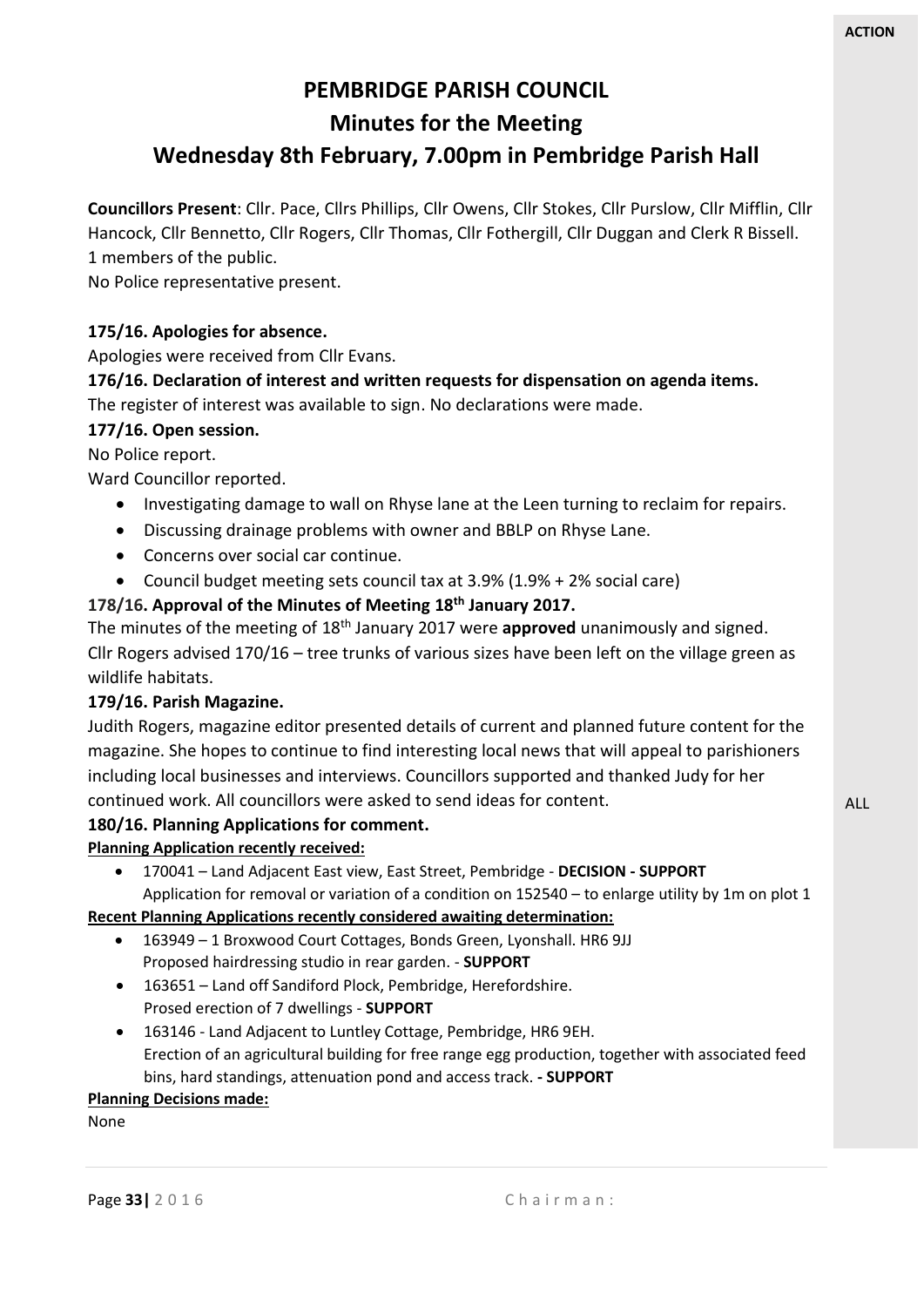ALL

# **PEMBRIDGE PARISH COUNCIL Minutes for the Meeting**

## **Wednesday 8th February, 7.00pm in Pembridge Parish Hall**

**Councillors Present**: Cllr. Pace, Cllrs Phillips, Cllr Owens, Cllr Stokes, Cllr Purslow, Cllr Mifflin, Cllr Hancock, Cllr Bennetto, Cllr Rogers, Cllr Thomas, Cllr Fothergill, Cllr Duggan and Clerk R Bissell. 1 members of the public.

No Police representative present.

#### **175/16. Apologies for absence.**

Apologies were received from Cllr Evans.

**176/16. Declaration of interest and written requests for dispensation on agenda items.**

The register of interest was available to sign. No declarations were made.

#### **177/16. Open session.**

No Police report.

Ward Councillor reported.

- Investigating damage to wall on Rhyse lane at the Leen turning to reclaim for repairs.
- Discussing drainage problems with owner and BBLP on Rhyse Lane.
- Concerns over social car continue.
- Council budget meeting sets council tax at 3.9% (1.9% + 2% social care)

### **178/16. Approval of the Minutes of Meeting 18th January 2017.**

The minutes of the meeting of 18th January 2017 were **approved** unanimously and signed. Cllr Rogers advised 170/16 – tree trunks of various sizes have been left on the village green as wildlife habitats.

#### **179/16. Parish Magazine.**

Judith Rogers, magazine editor presented details of current and planned future content for the magazine. She hopes to continue to find interesting local news that will appeal to parishioners including local businesses and interviews. Councillors supported and thanked Judy for her continued work. All councillors were asked to send ideas for content.

#### **180/16. Planning Applications for comment.**

**Planning Application recently received:**

• 170041 – Land Adjacent East view, East Street, Pembridge - **DECISION - SUPPORT** Application for removal or variation of a condition on 152540 – to enlarge utility by 1m on plot 1

#### **Recent Planning Applications recently considered awaiting determination:**

- 163949 1 Broxwood Court Cottages, Bonds Green, Lyonshall. HR6 9JJ Proposed hairdressing studio in rear garden. - **SUPPORT**
- 163651 Land off Sandiford Plock, Pembridge, Herefordshire. Prosed erection of 7 dwellings - **SUPPORT**
- 163146 Land Adjacent to Luntley Cottage, Pembridge, HR6 9EH. Erection of an agricultural building for free range egg production, together with associated feed bins, hard standings, attenuation pond and access track. **- SUPPORT**

#### **Planning Decisions made:**

None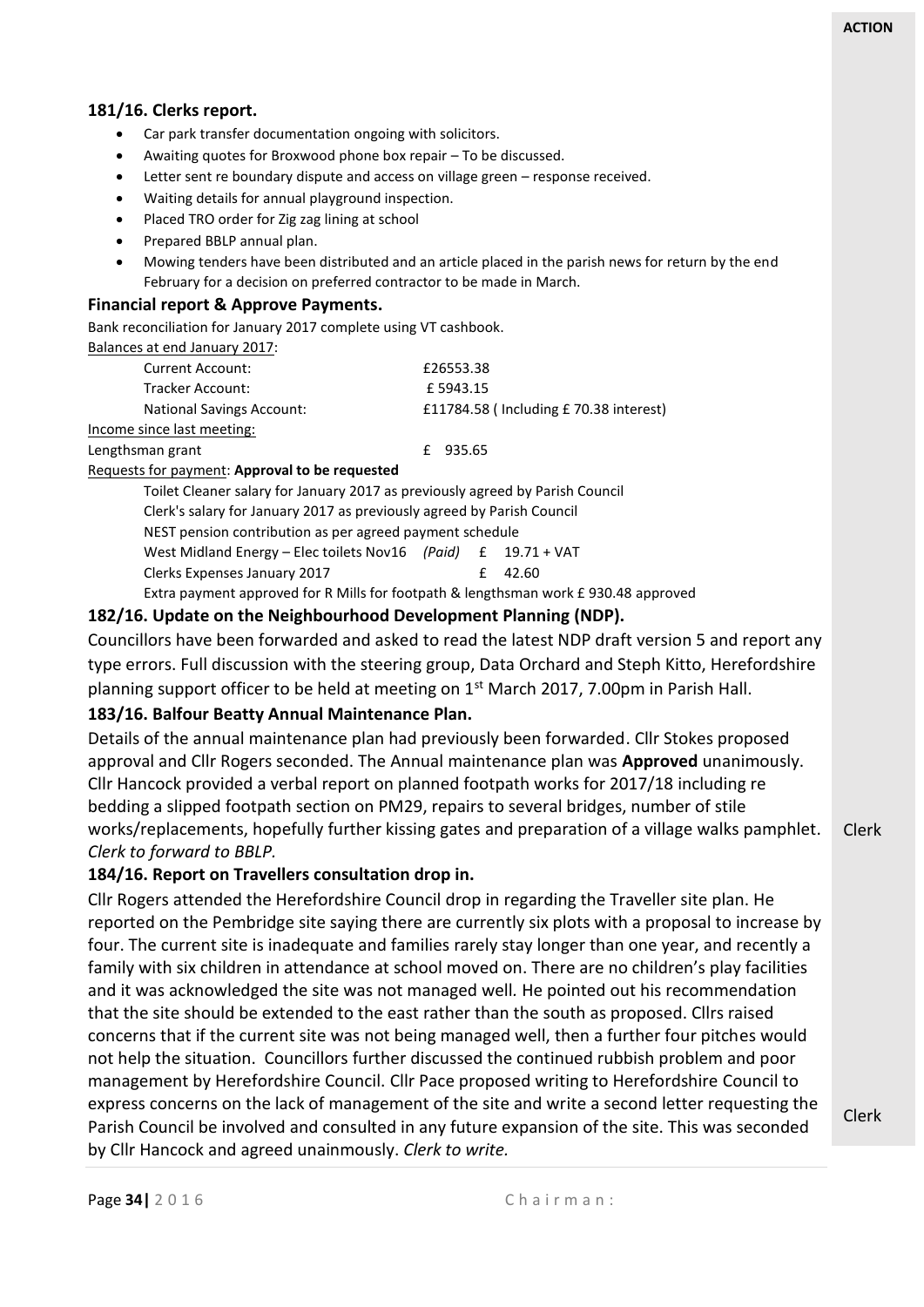#### **181/16. Clerks report.**

- Car park transfer documentation ongoing with solicitors.
- Awaiting quotes for Broxwood phone box repair To be discussed.
- Letter sent re boundary dispute and access on village green response received.
- Waiting details for annual playground inspection.
- Placed TRO order for Zig zag lining at school
- Prepared BBLP annual plan.
- Mowing tenders have been distributed and an article placed in the parish news for return by the end February for a decision on preferred contractor to be made in March.

#### **Financial report & Approve Payments.**

Bank reconciliation for January 2017 complete using VT cashbook.

Balances at end January 2017:

| <b>Current Account:</b>          | £26553.38                             |
|----------------------------------|---------------------------------------|
| Tracker Account:                 | £5943.15                              |
| <b>National Savings Account:</b> | £11784.58 (Including £70.38 interest) |
| Income since last meeting:       |                                       |
| Lengthsman grant                 | £ 935.65                              |

#### Requests for payment: **Approval to be requested**

Toilet Cleaner salary for January 2017 as previously agreed by Parish Council Clerk's salary for January 2017 as previously agreed by Parish Council NEST pension contribution as per agreed payment schedule West Midland Energy – Elec toilets Nov16 *(Paid)* £ 19.71 + VAT Clerks Expenses January 2017 £ 42.60

Extra payment approved for R Mills for footpath & lengthsman work £ 930.48 approved

#### **182/16. Update on the Neighbourhood Development Planning (NDP).**

Councillors have been forwarded and asked to read the latest NDP draft version 5 and report any type errors. Full discussion with the steering group, Data Orchard and Steph Kitto, Herefordshire planning support officer to be held at meeting on  $1<sup>st</sup>$  March 2017, 7.00pm in Parish Hall.

#### **183/16. Balfour Beatty Annual Maintenance Plan.**

Details of the annual maintenance plan had previously been forwarded. Cllr Stokes proposed approval and Cllr Rogers seconded. The Annual maintenance plan was **Approved** unanimously. Cllr Hancock provided a verbal report on planned footpath works for 2017/18 including re bedding a slipped footpath section on PM29, repairs to several bridges, number of stile works/replacements, hopefully further kissing gates and preparation of a village walks pamphlet. *Clerk to forward to BBLP.*

#### **184/16. Report on Travellers consultation drop in.**

Cllr Rogers attended the Herefordshire Council drop in regarding the Traveller site plan. He reported on the Pembridge site saying there are currently six plots with a proposal to increase by four. The current site is inadequate and families rarely stay longer than one year, and recently a family with six children in attendance at school moved on. There are no children's play facilities and it was acknowledged the site was not managed well*.* He pointed out his recommendation that the site should be extended to the east rather than the south as proposed. Cllrs raised concerns that if the current site was not being managed well, then a further four pitches would not help the situation. Councillors further discussed the continued rubbish problem and poor management by Herefordshire Council. Cllr Pace proposed writing to Herefordshire Council to express concerns on the lack of management of the site and write a second letter requesting the Parish Council be involved and consulted in any future expansion of the site. This was seconded by Cllr Hancock and agreed unainmously. *Clerk to write.*

Clerk

Clerk